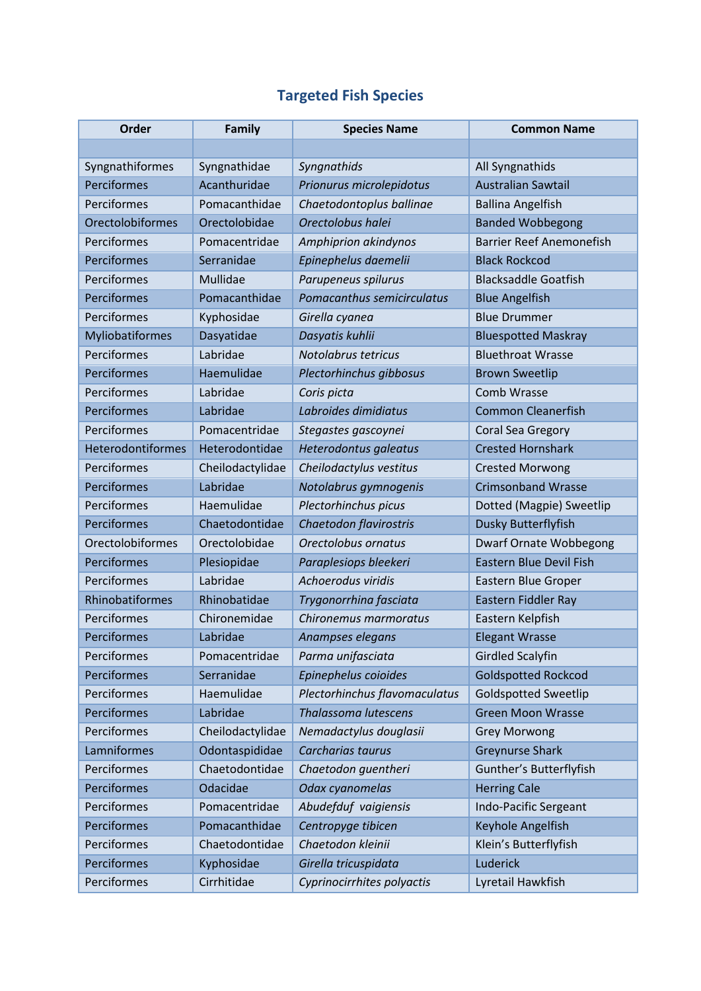## **Targeted Fish Species**

| Order                   | Family           | <b>Species Name</b>           | <b>Common Name</b>              |
|-------------------------|------------------|-------------------------------|---------------------------------|
|                         |                  |                               |                                 |
| Syngnathiformes         | Syngnathidae     | Syngnathids                   | All Syngnathids                 |
| Perciformes             | Acanthuridae     | Prionurus microlepidotus      | <b>Australian Sawtail</b>       |
| Perciformes             | Pomacanthidae    | Chaetodontoplus ballinae      | <b>Ballina Angelfish</b>        |
| <b>Orectolobiformes</b> | Orectolobidae    | Orectolobus halei             | <b>Banded Wobbegong</b>         |
| Perciformes             | Pomacentridae    | Amphiprion akindynos          | <b>Barrier Reef Anemonefish</b> |
| Perciformes             | Serranidae       | Epinephelus daemelii          | <b>Black Rockcod</b>            |
| Perciformes             | Mullidae         | Parupeneus spilurus           | <b>Blacksaddle Goatfish</b>     |
| Perciformes             | Pomacanthidae    | Pomacanthus semicirculatus    | <b>Blue Angelfish</b>           |
| Perciformes             | Kyphosidae       | Girella cyanea                | <b>Blue Drummer</b>             |
| Myliobatiformes         | Dasyatidae       | Dasyatis kuhlii               | <b>Bluespotted Maskray</b>      |
| Perciformes             | Labridae         | Notolabrus tetricus           | <b>Bluethroat Wrasse</b>        |
| Perciformes             | Haemulidae       | Plectorhinchus gibbosus       | <b>Brown Sweetlip</b>           |
| Perciformes             | Labridae         | Coris picta                   | Comb Wrasse                     |
| Perciformes             | Labridae         | Labroides dimidiatus          | <b>Common Cleanerfish</b>       |
| Perciformes             | Pomacentridae    | Stegastes gascoynei           | Coral Sea Gregory               |
| Heterodontiformes       | Heterodontidae   | Heterodontus galeatus         | <b>Crested Hornshark</b>        |
| Perciformes             | Cheilodactylidae | Cheilodactylus vestitus       | <b>Crested Morwong</b>          |
| Perciformes             | Labridae         | Notolabrus gymnogenis         | <b>Crimsonband Wrasse</b>       |
| Perciformes             | Haemulidae       | Plectorhinchus picus          | Dotted (Magpie) Sweetlip        |
| Perciformes             | Chaetodontidae   | Chaetodon flavirostris        | Dusky Butterflyfish             |
| Orectolobiformes        | Orectolobidae    | Orectolobus ornatus           | <b>Dwarf Ornate Wobbegong</b>   |
| Perciformes             | Plesiopidae      | Paraplesiops bleekeri         | <b>Eastern Blue Devil Fish</b>  |
| Perciformes             | Labridae         | Achoerodus viridis            | Eastern Blue Groper             |
| Rhinobatiformes         | Rhinobatidae     | Trygonorrhina fasciata        | Eastern Fiddler Ray             |
| Perciformes             | Chironemidae     | Chironemus marmoratus         | Eastern Kelpfish                |
| Perciformes             | Labridae         | Anampses elegans              | <b>Elegant Wrasse</b>           |
| Perciformes             | Pomacentridae    | Parma unifasciata             | <b>Girdled Scalyfin</b>         |
| Perciformes             | Serranidae       | Epinephelus coioides          | <b>Goldspotted Rockcod</b>      |
| Perciformes             | Haemulidae       | Plectorhinchus flavomaculatus | <b>Goldspotted Sweetlip</b>     |
| Perciformes             | Labridae         | <b>Thalassoma lutescens</b>   | <b>Green Moon Wrasse</b>        |
| Perciformes             | Cheilodactylidae | Nemadactylus douglasii        | <b>Grey Morwong</b>             |
| Lamniformes             | Odontaspididae   | Carcharias taurus             | <b>Greynurse Shark</b>          |
| Perciformes             | Chaetodontidae   | Chaetodon guentheri           | Gunther's Butterflyfish         |
| Perciformes             | Odacidae         | Odax cyanomelas               | <b>Herring Cale</b>             |
| Perciformes             | Pomacentridae    | Abudefduf vaigiensis          | Indo-Pacific Sergeant           |
| Perciformes             | Pomacanthidae    | Centropyge tibicen            | Keyhole Angelfish               |
| Perciformes             | Chaetodontidae   | Chaetodon kleinii             | Klein's Butterflyfish           |
| Perciformes             | Kyphosidae       | Girella tricuspidata          | Luderick                        |
| Perciformes             | Cirrhitidae      | Cyprinocirrhites polyactis    | Lyretail Hawkfish               |